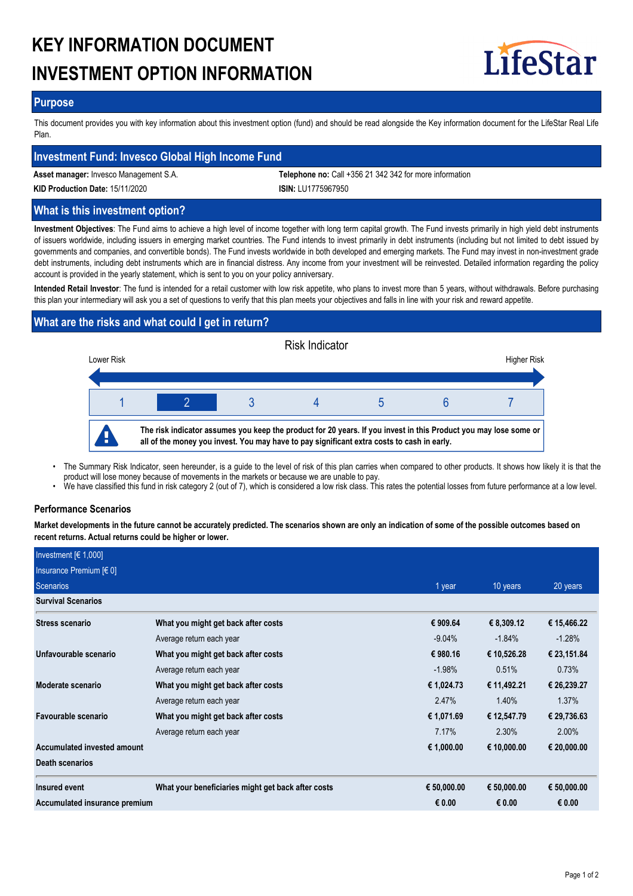# **KEY INFORMATION DOCUMENT INVESTMENT OPTION INFORMATION**



# **Purpose**

This document provides you with key information about this investment option (fund) and should be read alongside the Key information document for the LifeStar Real Life Plan.

# **Investment Fund: Invesco Global High Income Fund**

**Asset manager:** Invesco Management S.A. **Telephone no:** Call +356 21 342 342 for more information **KID Production Date:** 15/11/2020 **ISIN:** LU1775967950

# **What is this investment option?**

**Investment Objectives**: The Fund aims to achieve a high level of income together with long term capital growth. The Fund invests primarily in high yield debt instruments of issuers worldwide, including issuers in emerging market countries. The Fund intends to invest primarily in debt instruments (including but not limited to debt issued by governments and companies, and convertible bonds). The Fund invests worldwide in both developed and emerging markets. The Fund may invest in non-investment grade debt instruments, including debt instruments which are in financial distress. Any income from your investment will be reinvested. Detailed information regarding the policy account is provided in the yearly statement, which is sent to you on your policy anniversary.

**Intended Retail Investor**: The fund is intended for a retail customer with low risk appetite, who plans to invest more than 5 years, without withdrawals. Before purchasing this plan your intermediary will ask you a set of questions to verify that this plan meets your objectives and falls in line with your risk and reward appetite.

# **What are the risks and what could I get in return?**



- The Summary Risk Indicator, seen hereunder, is a guide to the level of risk of this plan carries when compared to other products. It shows how likely it is that the product will lose money because of movements in the markets or because we are unable to pay. •
- We have classified this fund in risk category 2 (out of 7), which is considered a low risk class. This rates the potential losses from future performance at a low level.

# **Performance Scenarios**

**Market developments in the future cannot be accurately predicted. The scenarios shown are only an indication of some of the possible outcomes based on recent returns. Actual returns could be higher or lower.**

| Investment $[6 1,000]$        |                                                    |             |             |             |
|-------------------------------|----------------------------------------------------|-------------|-------------|-------------|
| Insurance Premium [€ 0]       |                                                    |             |             |             |
| <b>Scenarios</b>              |                                                    | 1 year      | 10 years    | 20 years    |
| <b>Survival Scenarios</b>     |                                                    |             |             |             |
| Stress scenario               | What you might get back after costs                | € 909.64    | € 8,309.12  | € 15,466.22 |
|                               | Average return each year                           | $-9.04%$    | $-1.84%$    | $-1.28%$    |
| Unfavourable scenario         | What you might get back after costs                | € 980.16    | € 10,526.28 | € 23,151.84 |
|                               | Average return each year                           | $-1.98%$    | 0.51%       | 0.73%       |
| Moderate scenario             | What you might get back after costs                | € 1,024.73  | € 11,492.21 | € 26,239.27 |
|                               | Average return each year                           | 2.47%       | 1.40%       | $1.37\%$    |
| Favourable scenario           | What you might get back after costs                | € 1,071.69  | € 12,547.79 | € 29,736.63 |
|                               | Average return each year                           | 7.17%       | 2.30%       | 2.00%       |
| Accumulated invested amount   |                                                    | € 1,000.00  | € 10,000.00 | € 20,000.00 |
| <b>Death scenarios</b>        |                                                    |             |             |             |
| <b>Insured event</b>          | What your beneficiaries might get back after costs | € 50,000.00 | € 50,000.00 | € 50,000.00 |
| Accumulated insurance premium |                                                    | € 0.00      | € 0.00      | € 0.00      |